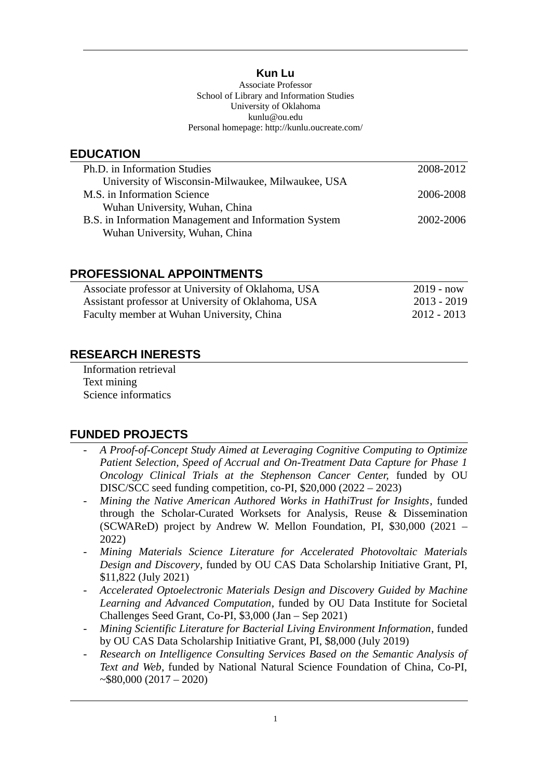### **Kun Lu**

Associate Professor School of Library and Information Studies University of Oklahoma kunlu@ou.edu Personal homepage: http://kunlu.oucreate.com/

### **EDUCATION**

| Ph.D. in Information Studies                          | 2008-2012 |
|-------------------------------------------------------|-----------|
| University of Wisconsin-Milwaukee, Milwaukee, USA     |           |
| M.S. in Information Science                           | 2006-2008 |
| Wuhan University, Wuhan, China                        |           |
| B.S. in Information Management and Information System | 2002-2006 |
| Wuhan University, Wuhan, China                        |           |

### **PROFESSIONAL APPOINTMENTS**

| Associate professor at University of Oklahoma, USA | $2019 - now$  |
|----------------------------------------------------|---------------|
| Assistant professor at University of Oklahoma, USA | 2013 - 2019   |
| Faculty member at Wuhan University, China          | $2012 - 2013$ |

## **RESEARCH INERESTS**

Information retrieval Text mining Science informatics

## **FUNDED PROJECTS**

- *A Proof-of-Concept Study Aimed at Leveraging Cognitive Computing to Optimize Patient Selection, Speed of Accrual and On-Treatment Data Capture for Phase 1 Oncology Clinical Trials at the Stephenson Cancer Center,* funded by OU DISC/SCC seed funding competition, co-PI, \$20,000 (2022 – 2023)
- *Mining the Native American Authored Works in HathiTrust for Insights*, funded through the Scholar-Curated Worksets for Analysis, Reuse & Dissemination (SCWAReD) project by Andrew W. Mellon Foundation, PI, \$30,000 (2021 – 2022)
- *Mining Materials Science Literature for Accelerated Photovoltaic Materials Design and Discovery*, funded by OU CAS Data Scholarship Initiative Grant, PI, \$11,822 (July 2021)
- *Accelerated Optoelectronic Materials Design and Discovery Guided by Machine Learning and Advanced Computation*, funded by OU Data Institute for Societal Challenges Seed Grant, Co-PI, \$3,000 (Jan – Sep 2021)
- *Mining Scientific Literature for Bacterial Living Environment Information*, funded by OU CAS Data Scholarship Initiative Grant, PI, \$8,000 (July 2019)
- *Research on Intelligence Consulting Services Based on the Semantic Analysis of Text and Web*, funded by National Natural Science Foundation of China, Co-PI,  $\sim$ \$80,000 (2017 – 2020)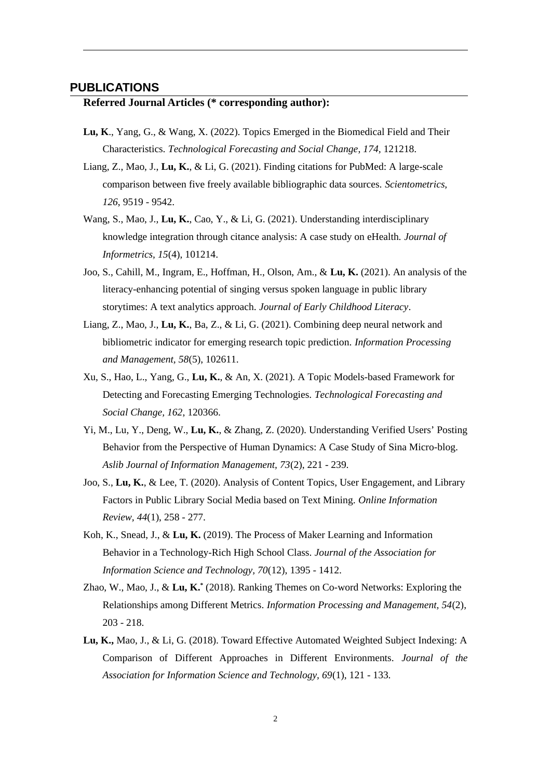#### **PUBLICATIONS**

#### **Referred Journal Articles (\* corresponding author):**

- **Lu, K**., Yang, G., & Wang, X. (2022). Topics Emerged in the Biomedical Field and Their Characteristics. *Technological Forecasting and Social Change*, *174,* 121218.
- Liang, Z., Mao, J., **Lu, K.**, & Li, G. (2021). Finding citations for PubMed: A large-scale comparison between five freely available bibliographic data sources. *Scientometrics, 126*, 9519 - 9542.
- Wang, S., Mao, J., **Lu, K.**, Cao, Y., & Li, G. (2021). Understanding interdisciplinary knowledge integration through citance analysis: A case study on eHealth. *Journal of Informetrics, 15*(4), 101214.
- Joo, S., Cahill, M., Ingram, E., Hoffman, H., Olson, Am., & **Lu, K.** (2021). An analysis of the literacy-enhancing potential of singing versus spoken language in public library storytimes: A text analytics approach. *Journal of Early Childhood Literacy*.
- Liang, Z., Mao, J., **Lu, K.**, Ba, Z., & Li, G. (2021). Combining deep neural network and bibliometric indicator for emerging research topic prediction. *Information Processing and Management, 58*(5), 102611.
- Xu, S., Hao, L., Yang, G., **Lu, K.**, & An, X. (2021). A Topic Models-based Framework for Detecting and Forecasting Emerging Technologies. *Technological Forecasting and Social Change, 162*, 120366.
- Yi, M., Lu, Y., Deng, W., **Lu, K.**, & Zhang, Z. (2020). Understanding Verified Users' Posting Behavior from the Perspective of Human Dynamics: A Case Study of Sina Micro-blog. *Aslib Journal of Information Management, 73*(2), 221 - 239.
- Joo, S., **Lu, K.**, & Lee, T. (2020). Analysis of Content Topics, User Engagement, and Library Factors in Public Library Social Media based on Text Mining. *Online Information Review, 44*(1), 258 - 277.
- Koh, K., Snead, J., & **Lu, K.** (2019). The Process of Maker Learning and Information Behavior in a Technology-Rich High School Class. *Journal of the Association for Information Science and Technology, 70*(12), 1395 - 1412.
- Zhao, W., Mao, J., & **Lu, K.\*** (2018). Ranking Themes on Co-word Networks: Exploring the Relationships among Different Metrics. *Information Processing and Management, 54*(2), 203 - 218.
- **Lu, K.,** Mao, J., & Li, G. (2018). Toward Effective Automated Weighted Subject Indexing: A Comparison of Different Approaches in Different Environments. *Journal of the Association for Information Science and Technology, 69*(1), 121 - 133.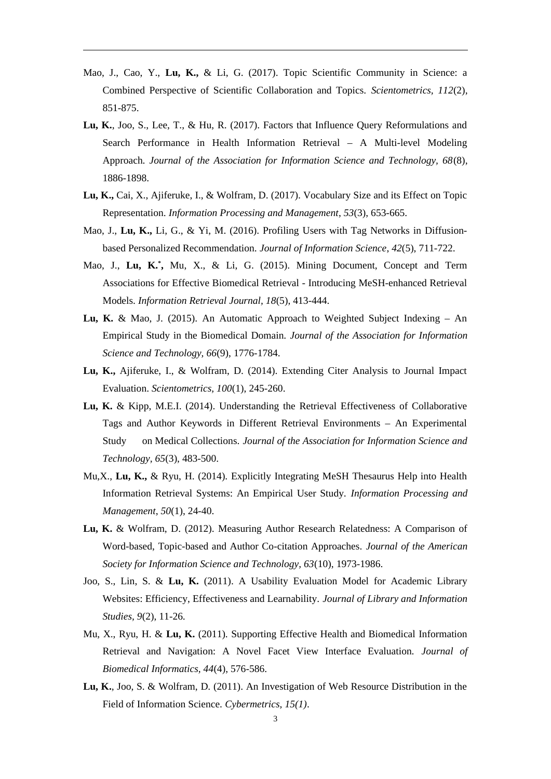- Mao, J., Cao, Y., **Lu, K.,** & Li, G. (2017). Topic Scientific Community in Science: a Combined Perspective of Scientific Collaboration and Topics. *Scientometrics, 112*(2), 851-875.
- **Lu, K.**, Joo, S., Lee, T., & Hu, R. (2017). Factors that Influence Query Reformulations and Search Performance in Health Information Retrieval – A Multi-level Modeling Approach. *Journal of the Association for Information Science and Technology, 68*(8), 1886-1898.
- **Lu, K.,** Cai, X., Ajiferuke, I., & Wolfram, D. (2017). Vocabulary Size and its Effect on Topic Representation. *Information Processing and Management*, *53*(3), 653-665.
- Mao, J., **Lu, K.,** Li, G., & Yi, M. (2016). Profiling Users with Tag Networks in Diffusionbased Personalized Recommendation. *Journal of Information Science*, *42*(5), 711-722.
- Mao, J., **Lu, K.\* ,** Mu, X., & Li, G. (2015). Mining Document, Concept and Term Associations for Effective Biomedical Retrieval - Introducing MeSH-enhanced Retrieval Models. *Information Retrieval Journal, 18*(5), 413-444.
- **Lu, K.** & Mao, J. (2015). An Automatic Approach to Weighted Subject Indexing An Empirical Study in the Biomedical Domain. *Journal of the Association for Information Science and Technology, 66*(9), 1776-1784.
- **Lu, K.,** Ajiferuke, I., & Wolfram, D. (2014). Extending Citer Analysis to Journal Impact Evaluation. *Scientometrics, 100*(1), 245-260.
- **Lu, K.** & Kipp, M.E.I. (2014). Understanding the Retrieval Effectiveness of Collaborative Tags and Author Keywords in Different Retrieval Environments – An Experimental Study on Medical Collections. *Journal of the Association for Information Science and Technology, 65*(3), 483-500.
- Mu,X., **Lu, K.,** & Ryu, H. (2014). Explicitly Integrating MeSH Thesaurus Help into Health Information Retrieval Systems: An Empirical User Study. *Information Processing and Management*, *50*(1), 24-40.
- **Lu, K.** & Wolfram, D. (2012). Measuring Author Research Relatedness: A Comparison of Word-based, Topic-based and Author Co-citation Approaches. *Journal of the American Society for Information Science and Technology, 63*(10), 1973-1986.
- Joo, S., Lin, S. & **Lu, K.** (2011). A Usability Evaluation Model for Academic Library Websites: Efficiency, Effectiveness and Learnability. *Journal of Library and Information Studies, 9*(2), 11-26.
- Mu, X., Ryu, H. & **Lu, K.** (2011). Supporting Effective Health and Biomedical Information Retrieval and Navigation: A Novel Facet View Interface Evaluation. *Journal of Biomedical Informatics, 44*(4), 576-586.
- **Lu, K.**, Joo, S. & Wolfram, D. (2011). An Investigation of Web Resource Distribution in the Field of Information Science. *Cybermetrics, 15(1)*.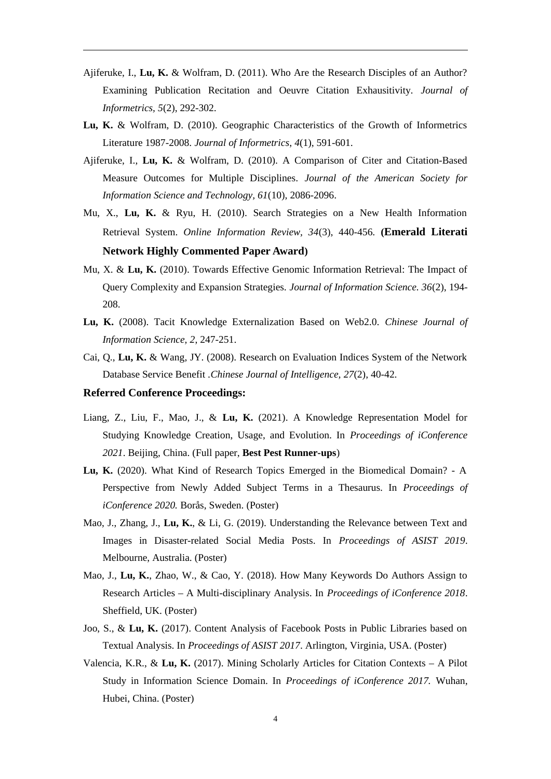- Ajiferuke, I., **Lu, K.** & Wolfram, D. (2011). Who Are the Research Disciples of an Author? Examining Publication Recitation and Oeuvre Citation Exhausitivity. *Journal of Informetrics, 5*(2), 292-302.
- **Lu, K.** & Wolfram, D. (2010). Geographic Characteristics of the Growth of Informetrics Literature 1987-2008. *Journal of Informetrics*, *4*(1), 591-601.
- Ajiferuke, I., **Lu, K.** & Wolfram, D. (2010). A Comparison of Citer and Citation-Based Measure Outcomes for Multiple Disciplines. *Journal of the American Society for Information Science and Technology, 61*(10), 2086-2096.
- Mu, X., **Lu, K.** & Ryu, H. (2010). Search Strategies on a New Health Information Retrieval System. *Online Information Review, 34*(3), 440-456. **(Emerald Literati Network Highly Commented Paper Award)**
- Mu, X. & **Lu, K.** (2010). Towards Effective Genomic Information Retrieval: The Impact of Query Complexity and Expansion Strategies. *Journal of Information Science. 36*(2), 194- 208.
- **Lu, K.** (2008). Tacit Knowledge Externalization Based on Web2.0. *Chinese Journal of Information Science, 2*, 247-251.
- Cai, Q., **Lu, K.** & Wang, JY. (2008). Research on Evaluation Indices System of the Network Database Service Benefit .*Chinese Journal of Intelligence, 27*(2), 40-42.

#### **Referred Conference Proceedings:**

- Liang, Z., Liu, F., Mao, J., & **Lu, K.** (2021). A Knowledge Representation Model for Studying Knowledge Creation, Usage, and Evolution. In *Proceedings of iConference 2021*. Beijing, China. (Full paper, **Best Pest Runner-ups**)
- **Lu, K.** (2020). What Kind of Research Topics Emerged in the Biomedical Domain? A Perspective from Newly Added Subject Terms in a Thesaurus. In *Proceedings of iConference 2020.* Borås, Sweden. (Poster)
- Mao, J., Zhang, J., **Lu, K.**, & Li, G. (2019). Understanding the Relevance between Text and Images in Disaster-related Social Media Posts. In *Proceedings of ASIST 2019*. Melbourne, Australia. (Poster)
- Mao, J., **Lu, K.**, Zhao, W., & Cao, Y. (2018). How Many Keywords Do Authors Assign to Research Articles – A Multi-disciplinary Analysis. In *Proceedings of iConference 2018*. Sheffield, UK. (Poster)
- Joo, S., & **Lu, K.** (2017). Content Analysis of Facebook Posts in Public Libraries based on Textual Analysis. In *Proceedings of ASIST 2017*. Arlington, Virginia, USA. (Poster)
- Valencia, K.R., & **Lu, K.** (2017). Mining Scholarly Articles for Citation Contexts A Pilot Study in Information Science Domain. In *Proceedings of iConference 2017.* Wuhan, Hubei, China. (Poster)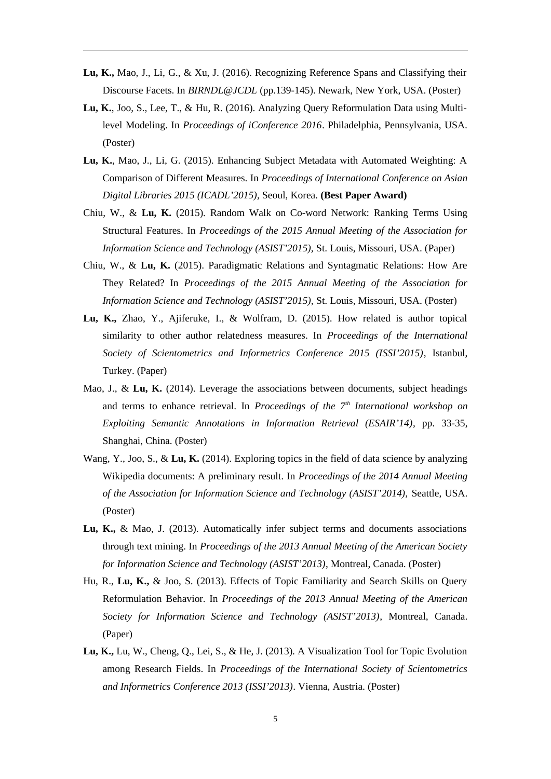- **Lu, K.,** Mao, J., Li, G., & Xu, J. (2016). Recognizing Reference Spans and Classifying their Discourse Facets. In *BIRNDL@JCDL* (pp.139-145). Newark, New York, USA. (Poster)
- **Lu, K.**, Joo, S., Lee, T., & Hu, R. (2016). Analyzing Query Reformulation Data using Multilevel Modeling. In *Proceedings of iConference 2016*. Philadelphia, Pennsylvania, USA. (Poster)
- **Lu, K.**, Mao, J., Li, G. (2015). Enhancing Subject Metadata with Automated Weighting: A Comparison of Different Measures. In *Proceedings of International Conference on Asian Digital Libraries 2015 (ICADL'2015),* Seoul, Korea. **(Best Paper Award)**
- Chiu, W., & **Lu, K.** (2015). Random Walk on Co-word Network: Ranking Terms Using Structural Features. In *Proceedings of the 2015 Annual Meeting of the Association for Information Science and Technology (ASIST'2015),* St. Louis, Missouri, USA. (Paper)
- Chiu, W., & **Lu, K.** (2015). Paradigmatic Relations and Syntagmatic Relations: How Are They Related? In *Proceedings of the 2015 Annual Meeting of the Association for Information Science and Technology (ASIST'2015),* St. Louis, Missouri, USA. (Poster)
- **Lu, K.,** Zhao, Y., Ajiferuke, I., & Wolfram, D. (2015). How related is author topical similarity to other author relatedness measures. In *Proceedings of the International Society of Scientometrics and Informetrics Conference 2015 (ISSI'2015)*, Istanbul, Turkey. (Paper)
- Mao, J., & **Lu, K.** (2014). Leverage the associations between documents, subject headings and terms to enhance retrieval. In *Proceedings of the 7th International workshop on Exploiting Semantic Annotations in Information Retrieval (ESAIR'14)*, pp. 33-35, Shanghai, China. (Poster)
- Wang, Y., Joo, S., & **Lu, K.** (2014). Exploring topics in the field of data science by analyzing Wikipedia documents: A preliminary result. In *Proceedings of the 2014 Annual Meeting of the Association for Information Science and Technology (ASIST'2014), Seattle, USA.* (Poster)
- **Lu, K.,** & Mao, J. (2013). Automatically infer subject terms and documents associations through text mining. In *Proceedings of the 2013 Annual Meeting of the American Society for Information Science and Technology (ASIST'2013)*, Montreal, Canada. (Poster)
- Hu, R., **Lu, K.,** & Joo, S. (2013). Effects of Topic Familiarity and Search Skills on Query Reformulation Behavior. In *Proceedings of the 2013 Annual Meeting of the American Society for Information Science and Technology (ASIST'2013)*, Montreal, Canada. (Paper)
- **Lu, K.,** Lu, W., Cheng, Q., Lei, S., & He, J. (2013). A Visualization Tool for Topic Evolution among Research Fields. In *Proceedings of the International Society of Scientometrics and Informetrics Conference 2013 (ISSI'2013)*. Vienna, Austria. (Poster)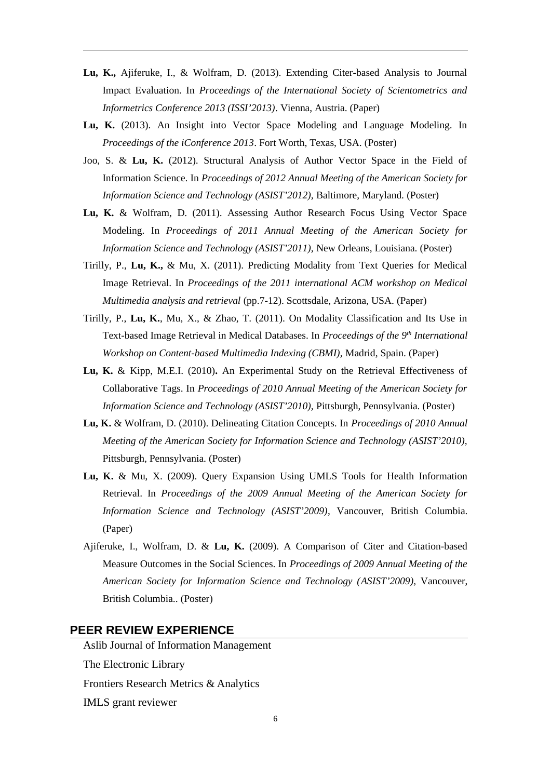- **Lu, K.,** Ajiferuke, I., & Wolfram, D. (2013). Extending Citer-based Analysis to Journal Impact Evaluation. In *Proceedings of the International Society of Scientometrics and Informetrics Conference 2013 (ISSI'2013)*. Vienna, Austria. (Paper)
- **Lu, K.** (2013). An Insight into Vector Space Modeling and Language Modeling. In *Proceedings of the iConference 2013*. Fort Worth, Texas, USA. (Poster)
- Joo, S. & **Lu, K.** (2012). Structural Analysis of Author Vector Space in the Field of Information Science. In *Proceedings of 2012 Annual Meeting of the American Society for Information Science and Technology (ASIST'2012),* Baltimore, Maryland. (Poster)
- **Lu, K.** & Wolfram, D. (2011). Assessing Author Research Focus Using Vector Space Modeling. In *Proceedings of 2011 Annual Meeting of the American Society for Information Science and Technology (ASIST'2011),* New Orleans, Louisiana. (Poster)
- Tirilly, P., **Lu, K.,** & Mu, X. (2011). Predicting Modality from Text Queries for Medical Image Retrieval. In *Proceedings of the 2011 international ACM workshop on Medical Multimedia analysis and retrieval* (pp.7-12). Scottsdale, Arizona, USA. (Paper)
- Tirilly, P., **Lu, K.**, Mu, X., & Zhao, T. (2011). On Modality Classification and Its Use in Text-based Image Retrieval in Medical Databases. In *Proceedings of the 9th International Workshop on Content-based Multimedia Indexing (CBMI),* Madrid, Spain. (Paper)
- **Lu, K.** & Kipp, M.E.I. (2010)**.** An Experimental Study on the Retrieval Effectiveness of Collaborative Tags. In *Proceedings of 2010 Annual Meeting of the American Society for Information Science and Technology (ASIST'2010),* Pittsburgh, Pennsylvania. (Poster)
- **Lu, K.** & Wolfram, D. (2010). Delineating Citation Concepts. In *Proceedings of 2010 Annual Meeting of the American Society for Information Science and Technology (ASIST'2010),* Pittsburgh, Pennsylvania. (Poster)
- **Lu, K.** & Mu, X. (2009). Query Expansion Using UMLS Tools for Health Information Retrieval. In *Proceedings of the 2009 Annual Meeting of the American Society for Information Science and Technology (ASIST'2009)*, Vancouver, British Columbia. (Paper)
- Ajiferuke, I., Wolfram, D. & **Lu, K.** (2009). A Comparison of Citer and Citation-based Measure Outcomes in the Social Sciences. In *Proceedings of 2009 Annual Meeting of the American Society for Information Science and Technology (ASIST'2009),* Vancouver, British Columbia.. (Poster)

#### **PEER REVIEW EXPERIENCE**

Aslib Journal of Information Management The Electronic Library Frontiers Research Metrics & Analytics IMLS grant reviewer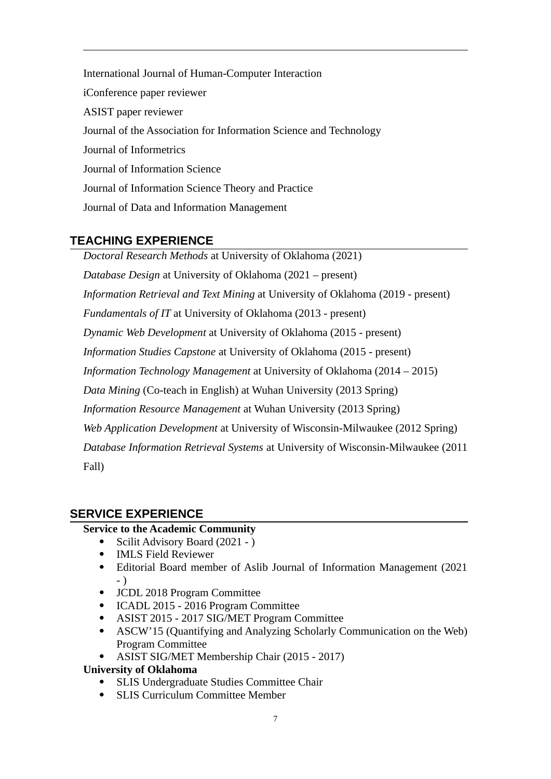International Journal of Human-Computer Interaction iConference paper reviewer ASIST paper reviewer Journal of the Association for Information Science and Technology Journal of Informetrics Journal of Information Science Journal of Information Science Theory and Practice Journal of Data and Information Management

# **TEACHING EXPERIENCE**

*Doctoral Research Methods* at University of Oklahoma (2021) *Database Design* at University of Oklahoma (2021 – present) *Information Retrieval and Text Mining* at University of Oklahoma (2019 - present) *Fundamentals of IT* at University of Oklahoma (2013 - present) *Dynamic Web Development* at University of Oklahoma (2015 - present) *Information Studies Capstone* at University of Oklahoma (2015 - present) *Information Technology Management* at University of Oklahoma (2014 – 2015) *Data Mining* (Co-teach in English) at Wuhan University (2013 Spring) *Information Resource Management* at Wuhan University (2013 Spring) *Web Application Development* at University of Wisconsin-Milwaukee (2012 Spring) *Database Information Retrieval Systems* at University of Wisconsin-Milwaukee (2011 Fall)

# **SERVICE EXPERIENCE**

### **Service to the Academic Community**

- Scilit Advisory Board (2021 )
- IMLS Field Reviewer
- Editorial Board member of Aslib Journal of Information Management (2021 - )
- JCDL 2018 Program Committee
- ICADL 2015 2016 Program Committee
- ASIST 2015 2017 SIG/MET Program Committee
- ASCW'15 (Quantifying and Analyzing Scholarly Communication on the Web) Program Committee
- ASIST SIG/MET Membership Chair (2015 2017)

## **University of Oklahoma**

- SLIS Undergraduate Studies Committee Chair
- SLIS Curriculum Committee Member